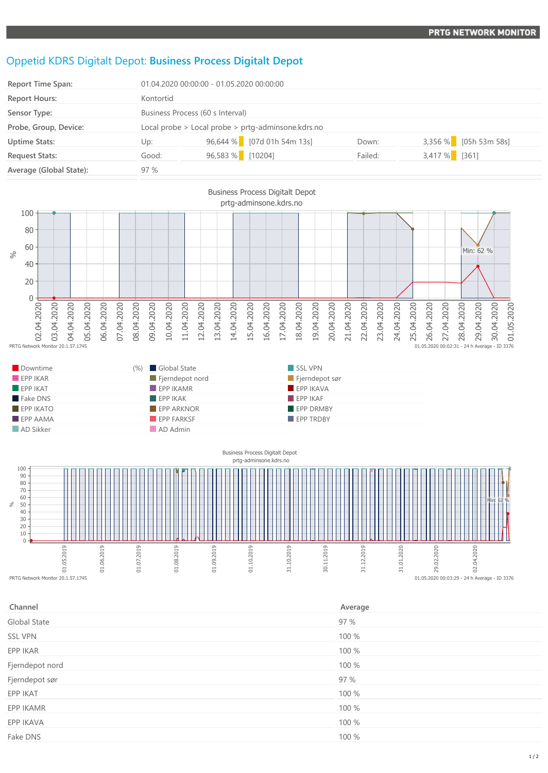## **PRTG NETWORK MONITOR**

## Oppetid KDRS Digitalt Depot: **Business Process Digitalt Depot**

| <b>Report Time Span:</b> | 01.04.2020 00:00:00 - 01.05.2020 00:00:00          |                            |         |                         |
|--------------------------|----------------------------------------------------|----------------------------|---------|-------------------------|
| Report Hours:            | Kontortid                                          |                            |         |                         |
| Sensor Type:             | Business Process (60 s Interval)                   |                            |         |                         |
| Probe, Group, Device:    | Local probe > Local probe > prtg-adminsone.kdrs.no |                            |         |                         |
| <b>Uptime Stats:</b>     | Up:                                                | 96,644 % [07d 01h 54m 13s] | Down:   | $3,356\%$ [05h 53m 58s] |
| <b>Request Stats:</b>    | Good:                                              | 96,583 % [10204]           | Failed: | 3,417 % [361]           |
| Average (Global State):  | 97%                                                |                            |         |                         |